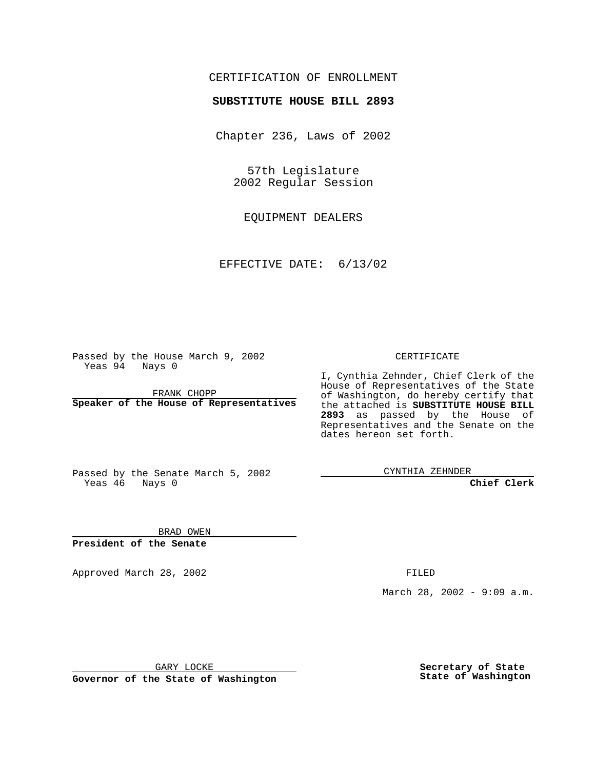## CERTIFICATION OF ENROLLMENT

# **SUBSTITUTE HOUSE BILL 2893**

Chapter 236, Laws of 2002

57th Legislature 2002 Regular Session

EQUIPMENT DEALERS

EFFECTIVE DATE: 6/13/02

Passed by the House March 9, 2002 Yeas 94 Nays 0

FRANK CHOPP **Speaker of the House of Representatives** CERTIFICATE

I, Cynthia Zehnder, Chief Clerk of the House of Representatives of the State of Washington, do hereby certify that the attached is **SUBSTITUTE HOUSE BILL 2893** as passed by the House of Representatives and the Senate on the dates hereon set forth.

Passed by the Senate March 5, 2002 Yeas 46 Nays 0

CYNTHIA ZEHNDER

**Chief Clerk**

BRAD OWEN **President of the Senate**

Approved March 28, 2002 **FILED** 

March 28, 2002 - 9:09 a.m.

GARY LOCKE

**Governor of the State of Washington**

**Secretary of State State of Washington**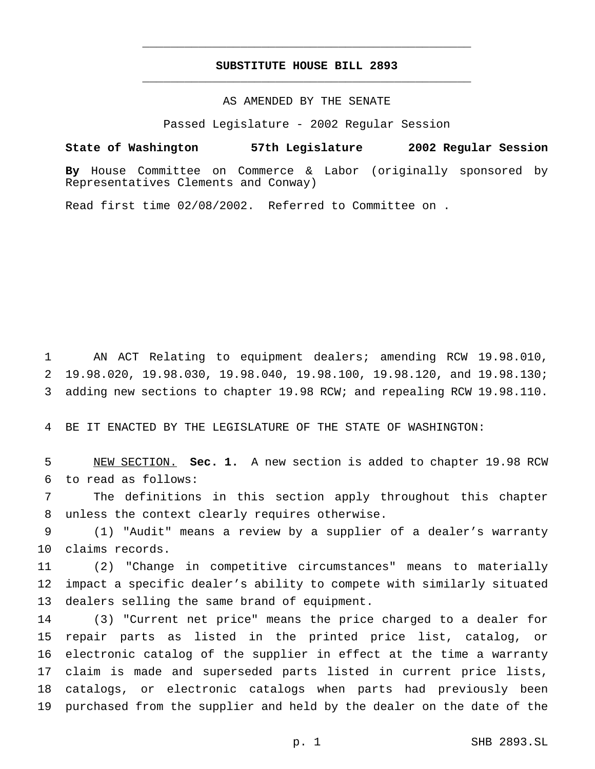## **SUBSTITUTE HOUSE BILL 2893** \_\_\_\_\_\_\_\_\_\_\_\_\_\_\_\_\_\_\_\_\_\_\_\_\_\_\_\_\_\_\_\_\_\_\_\_\_\_\_\_\_\_\_\_\_\_\_

\_\_\_\_\_\_\_\_\_\_\_\_\_\_\_\_\_\_\_\_\_\_\_\_\_\_\_\_\_\_\_\_\_\_\_\_\_\_\_\_\_\_\_\_\_\_\_

#### AS AMENDED BY THE SENATE

Passed Legislature - 2002 Regular Session

#### **State of Washington 57th Legislature 2002 Regular Session**

**By** House Committee on Commerce & Labor (originally sponsored by Representatives Clements and Conway)

Read first time 02/08/2002. Referred to Committee on .

 AN ACT Relating to equipment dealers; amending RCW 19.98.010, 19.98.020, 19.98.030, 19.98.040, 19.98.100, 19.98.120, and 19.98.130; adding new sections to chapter 19.98 RCW; and repealing RCW 19.98.110.

BE IT ENACTED BY THE LEGISLATURE OF THE STATE OF WASHINGTON:

 NEW SECTION. **Sec. 1.** A new section is added to chapter 19.98 RCW to read as follows:

 The definitions in this section apply throughout this chapter unless the context clearly requires otherwise.

 (1) "Audit" means a review by a supplier of a dealer's warranty claims records.

 (2) "Change in competitive circumstances" means to materially impact a specific dealer's ability to compete with similarly situated dealers selling the same brand of equipment.

 (3) "Current net price" means the price charged to a dealer for repair parts as listed in the printed price list, catalog, or electronic catalog of the supplier in effect at the time a warranty claim is made and superseded parts listed in current price lists, catalogs, or electronic catalogs when parts had previously been purchased from the supplier and held by the dealer on the date of the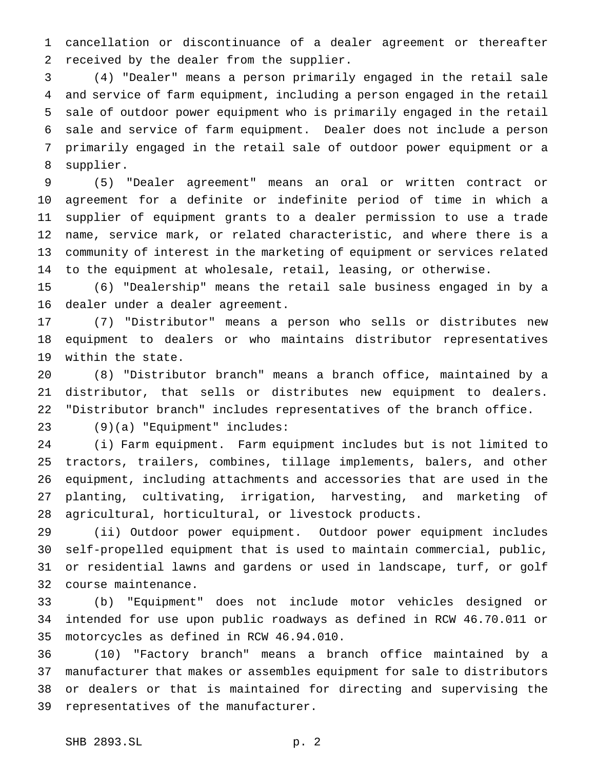cancellation or discontinuance of a dealer agreement or thereafter received by the dealer from the supplier.

 (4) "Dealer" means a person primarily engaged in the retail sale and service of farm equipment, including a person engaged in the retail sale of outdoor power equipment who is primarily engaged in the retail sale and service of farm equipment. Dealer does not include a person primarily engaged in the retail sale of outdoor power equipment or a supplier.

 (5) "Dealer agreement" means an oral or written contract or agreement for a definite or indefinite period of time in which a supplier of equipment grants to a dealer permission to use a trade name, service mark, or related characteristic, and where there is a community of interest in the marketing of equipment or services related to the equipment at wholesale, retail, leasing, or otherwise.

 (6) "Dealership" means the retail sale business engaged in by a dealer under a dealer agreement.

 (7) "Distributor" means a person who sells or distributes new equipment to dealers or who maintains distributor representatives within the state.

 (8) "Distributor branch" means a branch office, maintained by a distributor, that sells or distributes new equipment to dealers. "Distributor branch" includes representatives of the branch office.

(9)(a) "Equipment" includes:

 (i) Farm equipment. Farm equipment includes but is not limited to tractors, trailers, combines, tillage implements, balers, and other equipment, including attachments and accessories that are used in the planting, cultivating, irrigation, harvesting, and marketing of agricultural, horticultural, or livestock products.

 (ii) Outdoor power equipment. Outdoor power equipment includes self-propelled equipment that is used to maintain commercial, public, or residential lawns and gardens or used in landscape, turf, or golf course maintenance.

 (b) "Equipment" does not include motor vehicles designed or intended for use upon public roadways as defined in RCW 46.70.011 or motorcycles as defined in RCW 46.94.010.

 (10) "Factory branch" means a branch office maintained by a manufacturer that makes or assembles equipment for sale to distributors or dealers or that is maintained for directing and supervising the representatives of the manufacturer.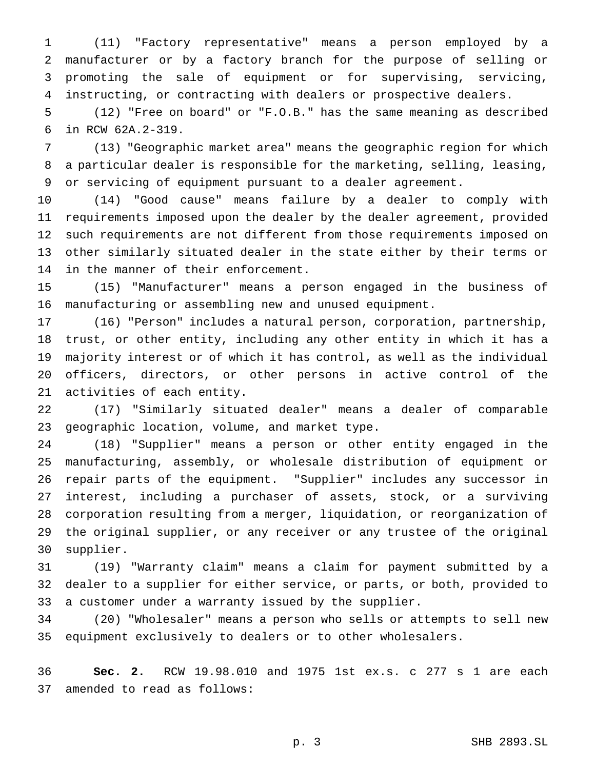(11) "Factory representative" means a person employed by a manufacturer or by a factory branch for the purpose of selling or promoting the sale of equipment or for supervising, servicing, instructing, or contracting with dealers or prospective dealers.

 (12) "Free on board" or "F.O.B." has the same meaning as described in RCW 62A.2-319.

 (13) "Geographic market area" means the geographic region for which a particular dealer is responsible for the marketing, selling, leasing, or servicing of equipment pursuant to a dealer agreement.

 (14) "Good cause" means failure by a dealer to comply with requirements imposed upon the dealer by the dealer agreement, provided such requirements are not different from those requirements imposed on other similarly situated dealer in the state either by their terms or in the manner of their enforcement.

 (15) "Manufacturer" means a person engaged in the business of manufacturing or assembling new and unused equipment.

 (16) "Person" includes a natural person, corporation, partnership, trust, or other entity, including any other entity in which it has a majority interest or of which it has control, as well as the individual officers, directors, or other persons in active control of the activities of each entity.

 (17) "Similarly situated dealer" means a dealer of comparable geographic location, volume, and market type.

 (18) "Supplier" means a person or other entity engaged in the manufacturing, assembly, or wholesale distribution of equipment or repair parts of the equipment. "Supplier" includes any successor in interest, including a purchaser of assets, stock, or a surviving corporation resulting from a merger, liquidation, or reorganization of the original supplier, or any receiver or any trustee of the original supplier.

 (19) "Warranty claim" means a claim for payment submitted by a dealer to a supplier for either service, or parts, or both, provided to a customer under a warranty issued by the supplier.

 (20) "Wholesaler" means a person who sells or attempts to sell new equipment exclusively to dealers or to other wholesalers.

 **Sec. 2.** RCW 19.98.010 and 1975 1st ex.s. c 277 s 1 are each amended to read as follows: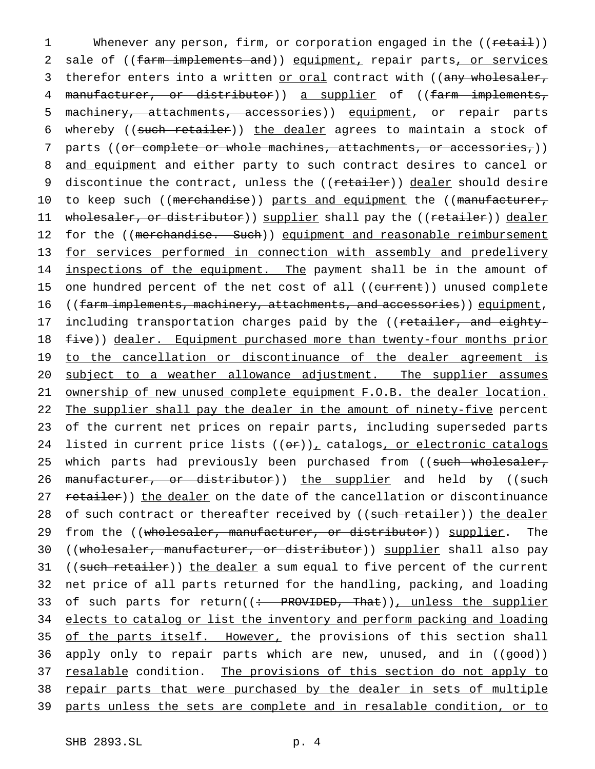1 Whenever any person, firm, or corporation engaged in the ((retail)) 2 sale of ((farm implements and)) equipment, repair parts, or services 3 therefor enters into a written or oral contract with ((any wholesaler, 4 manufacturer, or distributor)) a supplier of ((farm implements, 5 machinery, attachments, accessories)) equipment, or repair parts 6 whereby ((such retailer)) the dealer agrees to maintain a stock of 7 parts ((<del>or complete or whole machines, attachments, or accessories,</del>)) 8 and equipment and either party to such contract desires to cancel or 9 discontinue the contract, unless the ((retailer)) dealer should desire 10 to keep such ((merchandise)) parts and equipment the ((manufacturer, 11 wholesaler, or distributor)) supplier shall pay the ((retailer)) dealer 12 for the ((merchandise. Such)) equipment and reasonable reimbursement 13 for services performed in connection with assembly and predelivery 14 inspections of the equipment. The payment shall be in the amount of 15 one hundred percent of the net cost of all ((current)) unused complete 16 ((farm implements, machinery, attachments, and accessories)) equipment, 17 including transportation charges paid by the ((retailer, and eighty-18 five)) dealer. Equipment purchased more than twenty-four months prior 19 to the cancellation or discontinuance of the dealer agreement is 20 subject to a weather allowance adjustment. The supplier assumes 21 ownership of new unused complete equipment F.O.B. the dealer location. 22 The supplier shall pay the dealer in the amount of ninety-five percent 23 of the current net prices on repair parts, including superseded parts 24 listed in current price lists  $((or))_r$  catalogs, or electronic catalogs 25 which parts had previously been purchased from ((such wholesaler, 26 manufacturer, or distributor)) the supplier and held by ((such 27 retailer)) the dealer on the date of the cancellation or discontinuance 28 of such contract or thereafter received by ((such retailer)) the dealer 29 from the ((wholesaler, manufacturer, or distributor)) supplier. The 30 ((wholesaler, manufacturer, or distributor)) supplier shall also pay 31 ((such retailer)) the dealer a sum equal to five percent of the current 32 net price of all parts returned for the handling, packing, and loading 33 of such parts for return((: PROVIDED, That)), unless the supplier 34 elects to catalog or list the inventory and perform packing and loading 35 of the parts itself. However, the provisions of this section shall 36 apply only to repair parts which are new, unused, and in ((good)) 37 resalable condition. The provisions of this section do not apply to 38 repair parts that were purchased by the dealer in sets of multiple 39 parts unless the sets are complete and in resalable condition, or to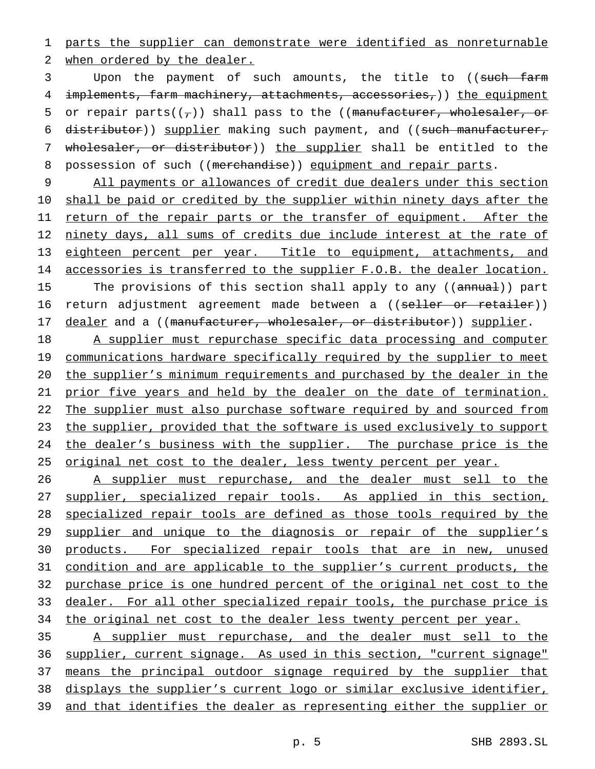1 parts the supplier can demonstrate were identified as nonreturnable 2 when ordered by the dealer.

3 Upon the payment of such amounts, the title to ((such farm 4 implements, farm machinery, attachments, accessories, ) ) the equipment 5 or repair parts( $(\tau)$ ) shall pass to the ((manufacturer, wholesaler, or 6 distributor)) supplier making such payment, and ((such manufacturer, 7 wholesaler, or distributor)) the supplier shall be entitled to the 8 possession of such ((merchandise)) equipment and repair parts.

9 All payments or allowances of credit due dealers under this section 10 shall be paid or credited by the supplier within ninety days after the 11 return of the repair parts or the transfer of equipment. After the 12 ninety days, all sums of credits due include interest at the rate of 13 eighteen percent per year. Title to equipment, attachments, and 14 accessories is transferred to the supplier F.O.B. the dealer location. 15 The provisions of this section shall apply to any ((annual)) part 16 return adjustment agreement made between a ((seller or retailer)) 17 dealer and a ((manufacturer, wholesaler, or distributor)) supplier.

18 A supplier must repurchase specific data processing and computer 19 communications hardware specifically required by the supplier to meet 20 the supplier's minimum requirements and purchased by the dealer in the 21 prior five years and held by the dealer on the date of termination. 22 The supplier must also purchase software required by and sourced from 23 the supplier, provided that the software is used exclusively to support 24 the dealer's business with the supplier. The purchase price is the 25 original net cost to the dealer, less twenty percent per year.

26 A supplier must repurchase, and the dealer must sell to the 27 supplier, specialized repair tools. As applied in this section, 28 specialized repair tools are defined as those tools required by the 29 supplier and unique to the diagnosis or repair of the supplier's 30 products. For specialized repair tools that are in new, unused 31 condition and are applicable to the supplier's current products, the 32 purchase price is one hundred percent of the original net cost to the 33 dealer. For all other specialized repair tools, the purchase price is 34 the original net cost to the dealer less twenty percent per year.

 A supplier must repurchase, and the dealer must sell to the supplier, current signage. As used in this section, "current signage" 37 means the principal outdoor signage required by the supplier that displays the supplier's current logo or similar exclusive identifier, and that identifies the dealer as representing either the supplier or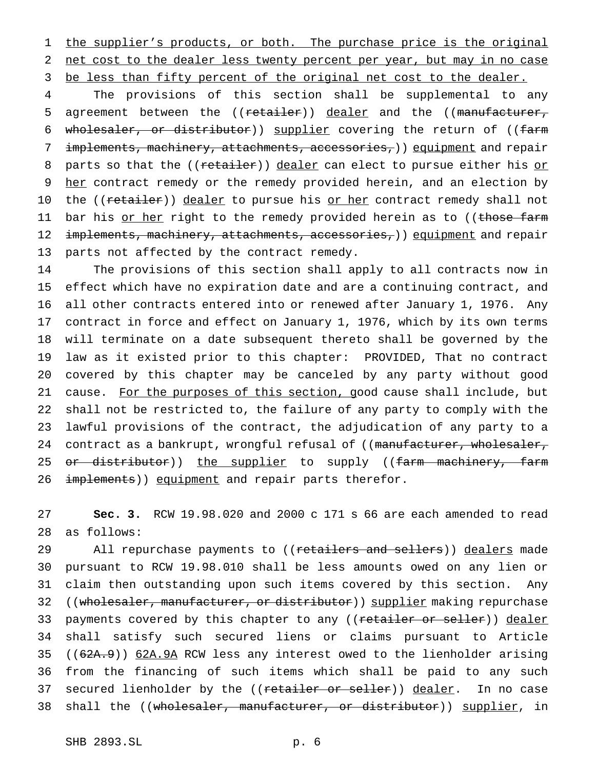1 the supplier's products, or both. The purchase price is the original 2 net cost to the dealer less twenty percent per year, but may in no case 3 be less than fifty percent of the original net cost to the dealer.

4 The provisions of this section shall be supplemental to any 5 agreement between the ((retailer)) dealer and the ((manufacturer, 6 wholesaler, or distributor)) supplier covering the return of ((farm 7 implements, machinery, attachments, accessories, ) equipment and repair 8 parts so that the ((retailer)) dealer can elect to pursue either his or 9 her contract remedy or the remedy provided herein, and an election by 10 the ((retailer)) dealer to pursue his or her contract remedy shall not 11 bar his <u>or her</u> right to the remedy provided herein as to ((those farm 12 implements, machinery, attachments, accessories,)) equipment and repair 13 parts not affected by the contract remedy.

 The provisions of this section shall apply to all contracts now in effect which have no expiration date and are a continuing contract, and all other contracts entered into or renewed after January 1, 1976. Any contract in force and effect on January 1, 1976, which by its own terms will terminate on a date subsequent thereto shall be governed by the law as it existed prior to this chapter: PROVIDED, That no contract covered by this chapter may be canceled by any party without good 21 cause. For the purposes of this section, good cause shall include, but shall not be restricted to, the failure of any party to comply with the lawful provisions of the contract, the adjudication of any party to a 24 contract as a bankrupt, wrongful refusal of ((manufacturer, wholesaler, 25 <del>or distributor</del>)) <u>the supplier</u> to supply ((<del>farm machinery, farm</del> 26 implements)) equipment and repair parts therefor.

27 **Sec. 3.** RCW 19.98.020 and 2000 c 171 s 66 are each amended to read 28 as follows:

29 All repurchase payments to ((retailers and sellers)) dealers made 30 pursuant to RCW 19.98.010 shall be less amounts owed on any lien or 31 claim then outstanding upon such items covered by this section. Any 32 ((wholesaler, manufacturer, or distributor)) supplier making repurchase 33 payments covered by this chapter to any ((retailer or seller)) dealer 34 shall satisfy such secured liens or claims pursuant to Article 35 ((62A.9)) 62A.9A RCW less any interest owed to the lienholder arising 36 from the financing of such items which shall be paid to any such 37 secured lienholder by the ((retailer or seller)) dealer. In no case 38 shall the ((wholesaler, manufacturer, or distributor)) supplier, in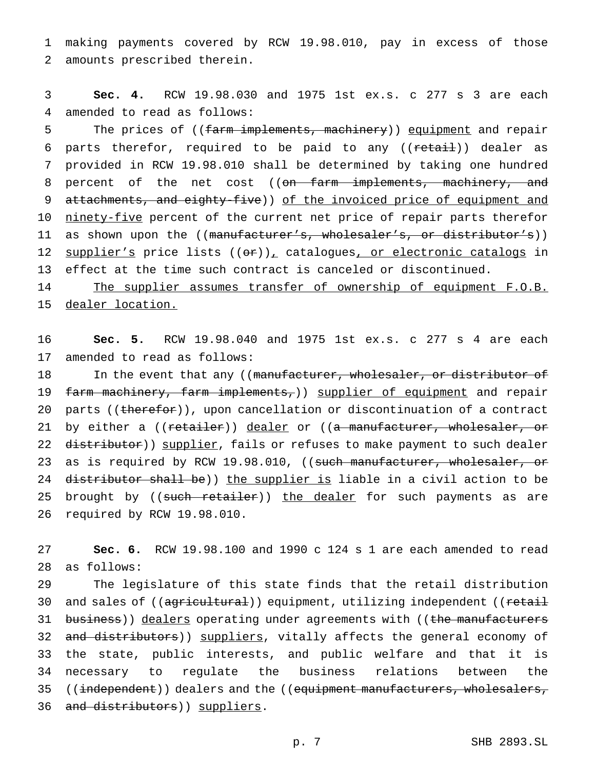1 making payments covered by RCW 19.98.010, pay in excess of those 2 amounts prescribed therein.

3 **Sec. 4.** RCW 19.98.030 and 1975 1st ex.s. c 277 s 3 are each 4 amended to read as follows:

5 The prices of ((farm implements, machinery)) equipment and repair 6 parts therefor, required to be paid to any ((<del>retail</del>)) dealer as 7 provided in RCW 19.98.010 shall be determined by taking one hundred 8 percent of the net cost ((on farm implements, machinery, and 9 attachments, and eighty-five)) of the invoiced price of equipment and 10 ninety-five percent of the current net price of repair parts therefor 11 as shown upon the ((manufacturer's, wholesaler's, or distributor's)) 12 supplier's price lists ((or)), catalogues, or electronic catalogs in 13 effect at the time such contract is canceled or discontinued.

14 The supplier assumes transfer of ownership of equipment F.O.B. 15 dealer location.

16 **Sec. 5.** RCW 19.98.040 and 1975 1st ex.s. c 277 s 4 are each 17 amended to read as follows:

18 In the event that any ((manufacturer, wholesaler, or distributor of 19 farm machinery, farm implements,)) supplier of equipment and repair 20 parts ((therefor)), upon cancellation or discontinuation of a contract 21 by either a ((retailer)) dealer or ((a manufacturer, wholesaler, or 22 distributor)) supplier, fails or refuses to make payment to such dealer 23 as is required by RCW 19.98.010, ((such manufacturer, wholesaler, or 24 distributor shall be)) the supplier is liable in a civil action to be 25 brought by ((such retailer)) the dealer for such payments as are 26 required by RCW 19.98.010.

27 **Sec. 6.** RCW 19.98.100 and 1990 c 124 s 1 are each amended to read 28 as follows:

29 The legislature of this state finds that the retail distribution 30 and sales of ((agricultural)) equipment, utilizing independent ((retail 31 business)) dealers operating under agreements with ((the manufacturers 32 and distributors)) suppliers, vitally affects the general economy of 33 the state, public interests, and public welfare and that it is 34 necessary to regulate the business relations between the 35 ((independent)) dealers and the ((equipment manufacturers, wholesalers, 36 and distributors)) suppliers.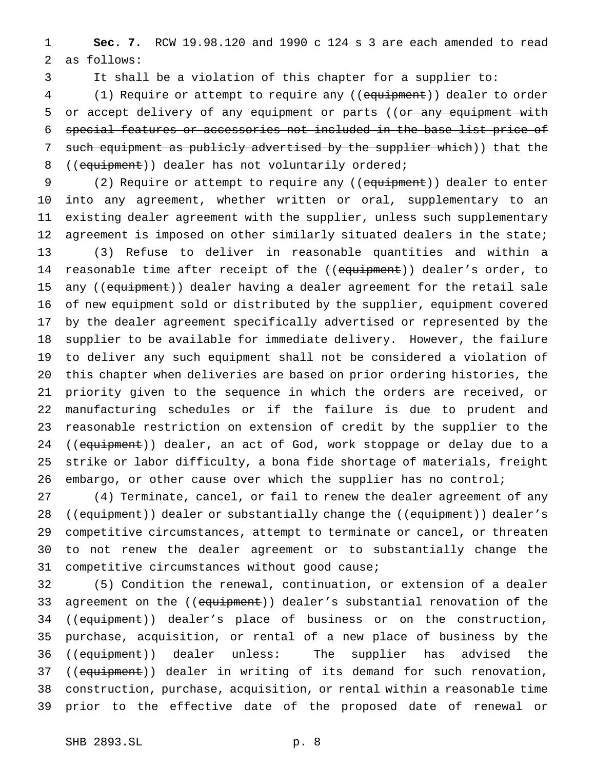1 **Sec. 7.** RCW 19.98.120 and 1990 c 124 s 3 are each amended to read 2 as follows:

3 It shall be a violation of this chapter for a supplier to:

4 (1) Require or attempt to require any ((equipment)) dealer to order 5 or accept delivery of any equipment or parts ((or any equipment with 6 special features or accessories not included in the base list price of 7 such equipment as publicly advertised by the supplier which)) that the 8 ((equipment)) dealer has not voluntarily ordered;

9 (2) Require or attempt to require any ((equipment)) dealer to enter into any agreement, whether written or oral, supplementary to an existing dealer agreement with the supplier, unless such supplementary 12 agreement is imposed on other similarly situated dealers in the state; (3) Refuse to deliver in reasonable quantities and within a 14 reasonable time after receipt of the ((equipment)) dealer's order, to 15 any ((equipment)) dealer having a dealer agreement for the retail sale of new equipment sold or distributed by the supplier, equipment covered by the dealer agreement specifically advertised or represented by the supplier to be available for immediate delivery. However, the failure to deliver any such equipment shall not be considered a violation of this chapter when deliveries are based on prior ordering histories, the priority given to the sequence in which the orders are received, or manufacturing schedules or if the failure is due to prudent and reasonable restriction on extension of credit by the supplier to the 24 ((equipment)) dealer, an act of God, work stoppage or delay due to a strike or labor difficulty, a bona fide shortage of materials, freight 26 embargo, or other cause over which the supplier has no control;

 (4) Terminate, cancel, or fail to renew the dealer agreement of any 28 ((equipment)) dealer or substantially change the ((equipment)) dealer's competitive circumstances, attempt to terminate or cancel, or threaten to not renew the dealer agreement or to substantially change the competitive circumstances without good cause;

32 (5) Condition the renewal, continuation, or extension of a dealer 33 agreement on the ((equipment)) dealer's substantial renovation of the 34 ((equipment)) dealer's place of business or on the construction, 35 purchase, acquisition, or rental of a new place of business by the 36 ((equipment)) dealer unless: The supplier has advised the 37 ((equipment)) dealer in writing of its demand for such renovation, 38 construction, purchase, acquisition, or rental within a reasonable time 39 prior to the effective date of the proposed date of renewal or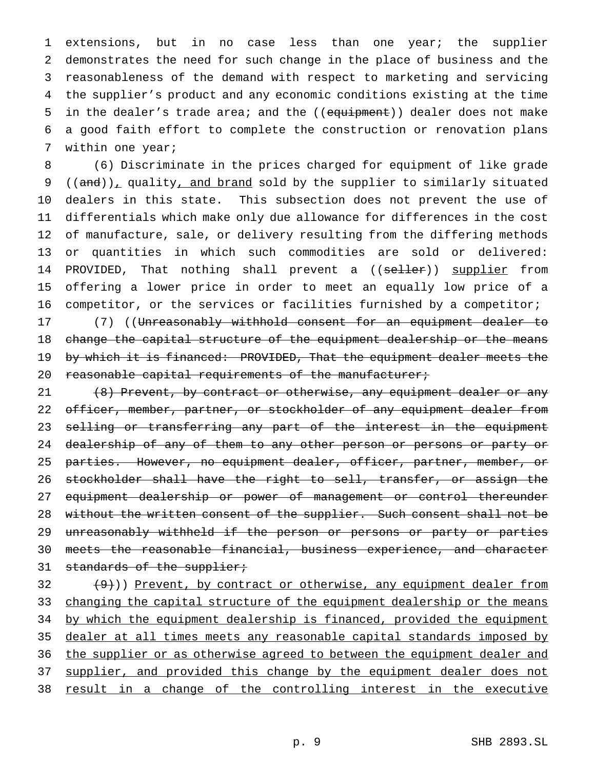extensions, but in no case less than one year; the supplier demonstrates the need for such change in the place of business and the reasonableness of the demand with respect to marketing and servicing the supplier's product and any economic conditions existing at the time 5 in the dealer's trade area; and the ((equipment)) dealer does not make a good faith effort to complete the construction or renovation plans within one year;

 (6) Discriminate in the prices charged for equipment of like grade 9 (( $and$ )), quality, and brand sold by the supplier to similarly situated dealers in this state. This subsection does not prevent the use of differentials which make only due allowance for differences in the cost of manufacture, sale, or delivery resulting from the differing methods or quantities in which such commodities are sold or delivered: 14 PROVIDED, That nothing shall prevent a ((seller)) supplier from offering a lower price in order to meet an equally low price of a competitor, or the services or facilities furnished by a competitor;

17 (7) ((Unreasonably withhold consent for an equipment dealer to 18 change the capital structure of the equipment dealership or the means 19 by which it is financed: PROVIDED, That the equipment dealer meets the 20 reasonable capital requirements of the manufacturer;

21 (8) Prevent, by contract or otherwise, any equipment dealer or any 22 officer, member, partner, or stockholder of any equipment dealer from 23 selling or transferring any part of the interest in the equipment 24 dealership of any of them to any other person or persons or party or 25 parties. However, no equipment dealer, officer, partner, member, or 26 stockholder shall have the right to sell, transfer, or assign the 27 equipment dealership or power of management or control thereunder 28 without the written consent of the supplier. Such consent shall not be 29 unreasonably withheld if the person or persons or party or parties 30 meets the reasonable financial, business experience, and character 31 standards of the supplier;

 $32$   $(9)$ )) Prevent, by contract or otherwise, any equipment dealer from 33 changing the capital structure of the equipment dealership or the means 34 by which the equipment dealership is financed, provided the equipment 35 dealer at all times meets any reasonable capital standards imposed by 36 the supplier or as otherwise agreed to between the equipment dealer and 37 supplier, and provided this change by the equipment dealer does not 38 result in a change of the controlling interest in the executive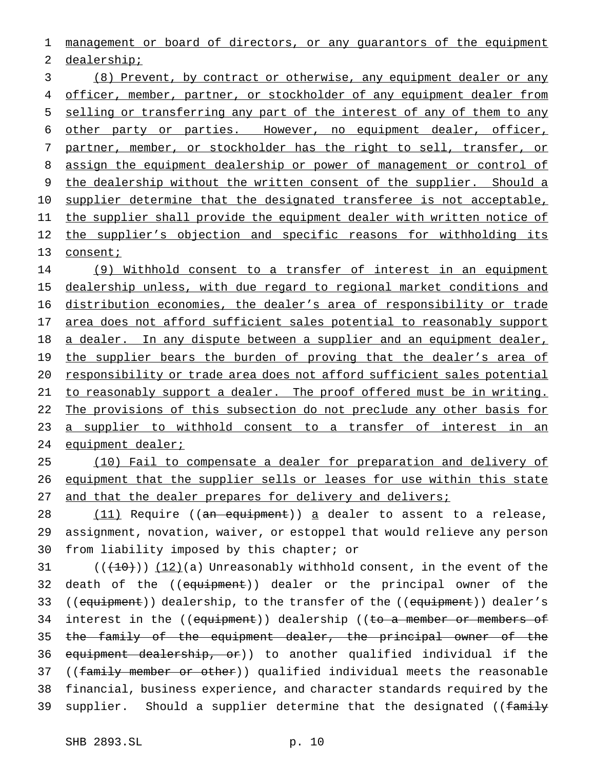1 management or board of directors, or any guarantors of the equipment

2 dealership;

3 (8) Prevent, by contract or otherwise, any equipment dealer or any 4 officer, member, partner, or stockholder of any equipment dealer from 5 selling or transferring any part of the interest of any of them to any 6 other party or parties. However, no equipment dealer, officer, 7 partner, member, or stockholder has the right to sell, transfer, or 8 assign the equipment dealership or power of management or control of 9 the dealership without the written consent of the supplier. Should a 10 supplier determine that the designated transferee is not acceptable, 11 the supplier shall provide the equipment dealer with written notice of 12 the supplier's objection and specific reasons for withholding its 13 consent;

14 (9) Withhold consent to a transfer of interest in an equipment 15 dealership unless, with due regard to regional market conditions and 16 distribution economies, the dealer's area of responsibility or trade 17 area does not afford sufficient sales potential to reasonably support 18 a dealer. In any dispute between a supplier and an equipment dealer, 19 the supplier bears the burden of proving that the dealer's area of 20 responsibility or trade area does not afford sufficient sales potential 21 to reasonably support a dealer. The proof offered must be in writing. 22 The provisions of this subsection do not preclude any other basis for 23 a supplier to withhold consent to a transfer of interest in an 24 equipment dealer;

25 (10) Fail to compensate a dealer for preparation and delivery of 26 equipment that the supplier sells or leases for use within this state 27 and that the dealer prepares for delivery and delivers;

28 (11) Require ((an equipment)) a dealer to assent to a release, 29 assignment, novation, waiver, or estoppel that would relieve any person 30 from liability imposed by this chapter; or

31  $((+10))$   $(12)(a)$  Unreasonably withhold consent, in the event of the 32 death of the ((equipment)) dealer or the principal owner of the 33 ((equipment)) dealership, to the transfer of the ((equipment)) dealer's 34 interest in the ((equipment)) dealership ((to a member or members of 35 the family of the equipment dealer, the principal owner of the 36 equipment dealership, or)) to another qualified individual if the 37 ((family member or other)) qualified individual meets the reasonable 38 financial, business experience, and character standards required by the 39 supplier. Should a supplier determine that the designated ((family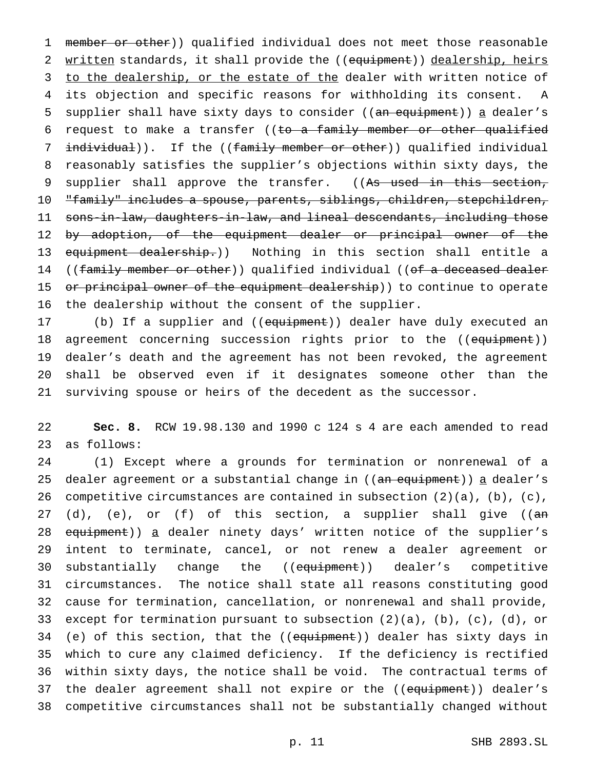1 member or other)) qualified individual does not meet those reasonable 2 written standards, it shall provide the ((equipment)) dealership, heirs 3 to the dealership, or the estate of the dealer with written notice of 4 its objection and specific reasons for withholding its consent. A 5 supplier shall have sixty days to consider ((an equipment)) a dealer's 6 request to make a transfer ((to a family member or other qualified 7 individual)). If the ((family member or other)) qualified individual 8 reasonably satisfies the supplier's objections within sixty days, the 9 supplier shall approve the transfer. ((As used in this section, 10 "family" includes a spouse, parents, siblings, children, stepchildren, 11 sons-in-law, daughters-in-law, and lineal descendants, including those 12 by adoption, of the equipment dealer or principal owner of the 13 equipment dealership.)) Nothing in this section shall entitle a 14 ((family member or other)) qualified individual ((of a deceased dealer 15 or principal owner of the equipment dealership)) to continue to operate 16 the dealership without the consent of the supplier.

17 (b) If a supplier and ((equipment)) dealer have duly executed an 18 agreement concerning succession rights prior to the ((equipment)) 19 dealer's death and the agreement has not been revoked, the agreement 20 shall be observed even if it designates someone other than the 21 surviving spouse or heirs of the decedent as the successor.

22 **Sec. 8.** RCW 19.98.130 and 1990 c 124 s 4 are each amended to read 23 as follows:

24 (1) Except where a grounds for termination or nonrenewal of a 25 dealer agreement or a substantial change in ((an equipment)) a dealer's 26 competitive circumstances are contained in subsection  $(2)(a)$ ,  $(b)$ ,  $(c)$ , 27 (d), (e), or (f) of this section, a supplier shall give ((an 28 equipment)) a dealer ninety days' written notice of the supplier's 29 intent to terminate, cancel, or not renew a dealer agreement or 30 substantially change the ((equipment)) dealer's competitive 31 circumstances. The notice shall state all reasons constituting good 32 cause for termination, cancellation, or nonrenewal and shall provide, 33 except for termination pursuant to subsection (2)(a), (b), (c), (d), or 34 (e) of this section, that the ((equipment)) dealer has sixty days in 35 which to cure any claimed deficiency. If the deficiency is rectified 36 within sixty days, the notice shall be void. The contractual terms of 37 the dealer agreement shall not expire or the ((equipment)) dealer's 38 competitive circumstances shall not be substantially changed without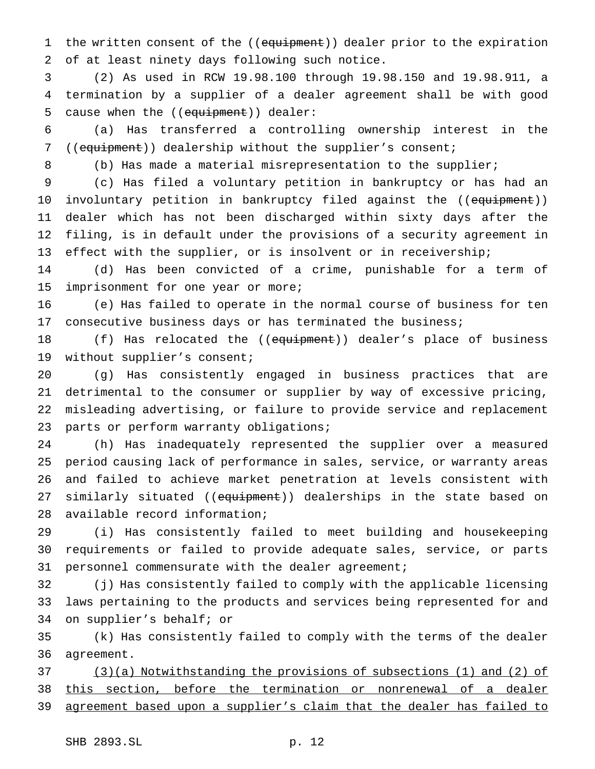1 the written consent of the ((equipment)) dealer prior to the expiration of at least ninety days following such notice.

 (2) As used in RCW 19.98.100 through 19.98.150 and 19.98.911, a termination by a supplier of a dealer agreement shall be with good 5 cause when the ((equipment)) dealer:

 (a) Has transferred a controlling ownership interest in the ((equipment)) dealership without the supplier's consent;

(b) Has made a material misrepresentation to the supplier;

 (c) Has filed a voluntary petition in bankruptcy or has had an 10 involuntary petition in bankruptcy filed against the ((equipment)) dealer which has not been discharged within sixty days after the filing, is in default under the provisions of a security agreement in effect with the supplier, or is insolvent or in receivership;

 (d) Has been convicted of a crime, punishable for a term of imprisonment for one year or more;

 (e) Has failed to operate in the normal course of business for ten consecutive business days or has terminated the business;

18 (f) Has relocated the ((equipment)) dealer's place of business without supplier's consent;

 (g) Has consistently engaged in business practices that are detrimental to the consumer or supplier by way of excessive pricing, misleading advertising, or failure to provide service and replacement parts or perform warranty obligations;

 (h) Has inadequately represented the supplier over a measured period causing lack of performance in sales, service, or warranty areas and failed to achieve market penetration at levels consistent with 27 similarly situated ((equipment)) dealerships in the state based on available record information;

 (i) Has consistently failed to meet building and housekeeping requirements or failed to provide adequate sales, service, or parts personnel commensurate with the dealer agreement;

 (j) Has consistently failed to comply with the applicable licensing laws pertaining to the products and services being represented for and on supplier's behalf; or

 (k) Has consistently failed to comply with the terms of the dealer agreement.

 (3)(a) Notwithstanding the provisions of subsections (1) and (2) of this section, before the termination or nonrenewal of a dealer 39 agreement based upon a supplier's claim that the dealer has failed to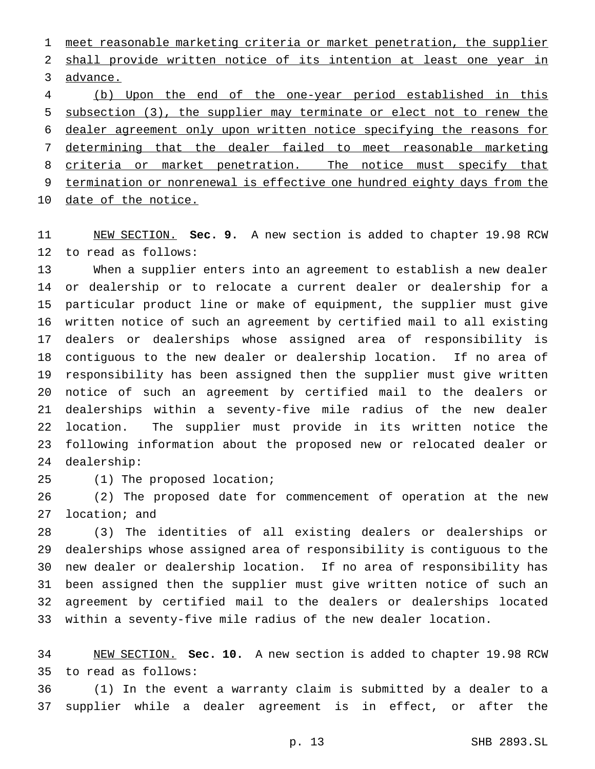meet reasonable marketing criteria or market penetration, the supplier shall provide written notice of its intention at least one year in advance.

 (b) Upon the end of the one-year period established in this subsection (3), the supplier may terminate or elect not to renew the dealer agreement only upon written notice specifying the reasons for determining that the dealer failed to meet reasonable marketing 8 criteria or market penetration. The notice must specify that termination or nonrenewal is effective one hundred eighty days from the date of the notice.

 NEW SECTION. **Sec. 9.** A new section is added to chapter 19.98 RCW to read as follows:

 When a supplier enters into an agreement to establish a new dealer or dealership or to relocate a current dealer or dealership for a particular product line or make of equipment, the supplier must give written notice of such an agreement by certified mail to all existing dealers or dealerships whose assigned area of responsibility is contiguous to the new dealer or dealership location. If no area of responsibility has been assigned then the supplier must give written notice of such an agreement by certified mail to the dealers or dealerships within a seventy-five mile radius of the new dealer location. The supplier must provide in its written notice the following information about the proposed new or relocated dealer or dealership:

(1) The proposed location;

 (2) The proposed date for commencement of operation at the new location; and

 (3) The identities of all existing dealers or dealerships or dealerships whose assigned area of responsibility is contiguous to the new dealer or dealership location. If no area of responsibility has been assigned then the supplier must give written notice of such an agreement by certified mail to the dealers or dealerships located within a seventy-five mile radius of the new dealer location.

 NEW SECTION. **Sec. 10.** A new section is added to chapter 19.98 RCW to read as follows:

 (1) In the event a warranty claim is submitted by a dealer to a supplier while a dealer agreement is in effect, or after the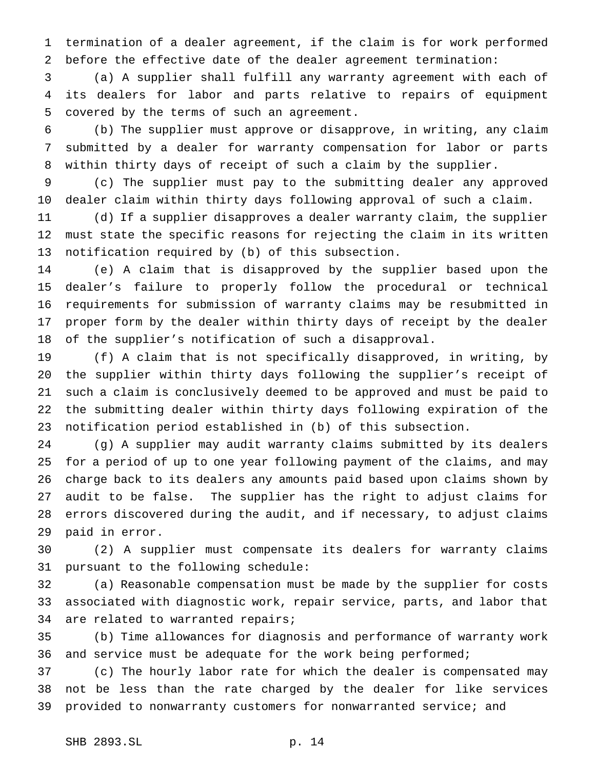termination of a dealer agreement, if the claim is for work performed before the effective date of the dealer agreement termination:

 (a) A supplier shall fulfill any warranty agreement with each of its dealers for labor and parts relative to repairs of equipment covered by the terms of such an agreement.

 (b) The supplier must approve or disapprove, in writing, any claim submitted by a dealer for warranty compensation for labor or parts within thirty days of receipt of such a claim by the supplier.

 (c) The supplier must pay to the submitting dealer any approved dealer claim within thirty days following approval of such a claim.

 (d) If a supplier disapproves a dealer warranty claim, the supplier must state the specific reasons for rejecting the claim in its written notification required by (b) of this subsection.

 (e) A claim that is disapproved by the supplier based upon the dealer's failure to properly follow the procedural or technical requirements for submission of warranty claims may be resubmitted in proper form by the dealer within thirty days of receipt by the dealer of the supplier's notification of such a disapproval.

 (f) A claim that is not specifically disapproved, in writing, by the supplier within thirty days following the supplier's receipt of such a claim is conclusively deemed to be approved and must be paid to the submitting dealer within thirty days following expiration of the notification period established in (b) of this subsection.

 (g) A supplier may audit warranty claims submitted by its dealers for a period of up to one year following payment of the claims, and may charge back to its dealers any amounts paid based upon claims shown by audit to be false. The supplier has the right to adjust claims for errors discovered during the audit, and if necessary, to adjust claims paid in error.

 (2) A supplier must compensate its dealers for warranty claims pursuant to the following schedule:

 (a) Reasonable compensation must be made by the supplier for costs associated with diagnostic work, repair service, parts, and labor that are related to warranted repairs;

 (b) Time allowances for diagnosis and performance of warranty work 36 and service must be adequate for the work being performed;

 (c) The hourly labor rate for which the dealer is compensated may not be less than the rate charged by the dealer for like services provided to nonwarranty customers for nonwarranted service; and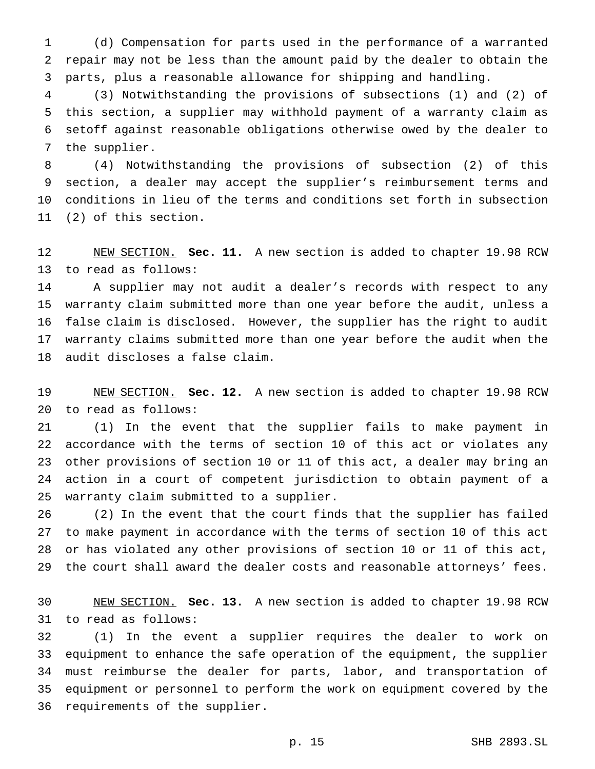(d) Compensation for parts used in the performance of a warranted repair may not be less than the amount paid by the dealer to obtain the parts, plus a reasonable allowance for shipping and handling.

 (3) Notwithstanding the provisions of subsections (1) and (2) of this section, a supplier may withhold payment of a warranty claim as setoff against reasonable obligations otherwise owed by the dealer to the supplier.

 (4) Notwithstanding the provisions of subsection (2) of this section, a dealer may accept the supplier's reimbursement terms and conditions in lieu of the terms and conditions set forth in subsection (2) of this section.

 NEW SECTION. **Sec. 11.** A new section is added to chapter 19.98 RCW to read as follows:

 A supplier may not audit a dealer's records with respect to any warranty claim submitted more than one year before the audit, unless a false claim is disclosed. However, the supplier has the right to audit warranty claims submitted more than one year before the audit when the audit discloses a false claim.

 NEW SECTION. **Sec. 12.** A new section is added to chapter 19.98 RCW to read as follows:

 (1) In the event that the supplier fails to make payment in accordance with the terms of section 10 of this act or violates any other provisions of section 10 or 11 of this act, a dealer may bring an action in a court of competent jurisdiction to obtain payment of a warranty claim submitted to a supplier.

 (2) In the event that the court finds that the supplier has failed to make payment in accordance with the terms of section 10 of this act or has violated any other provisions of section 10 or 11 of this act, the court shall award the dealer costs and reasonable attorneys' fees.

 NEW SECTION. **Sec. 13.** A new section is added to chapter 19.98 RCW to read as follows:

 (1) In the event a supplier requires the dealer to work on equipment to enhance the safe operation of the equipment, the supplier must reimburse the dealer for parts, labor, and transportation of equipment or personnel to perform the work on equipment covered by the requirements of the supplier.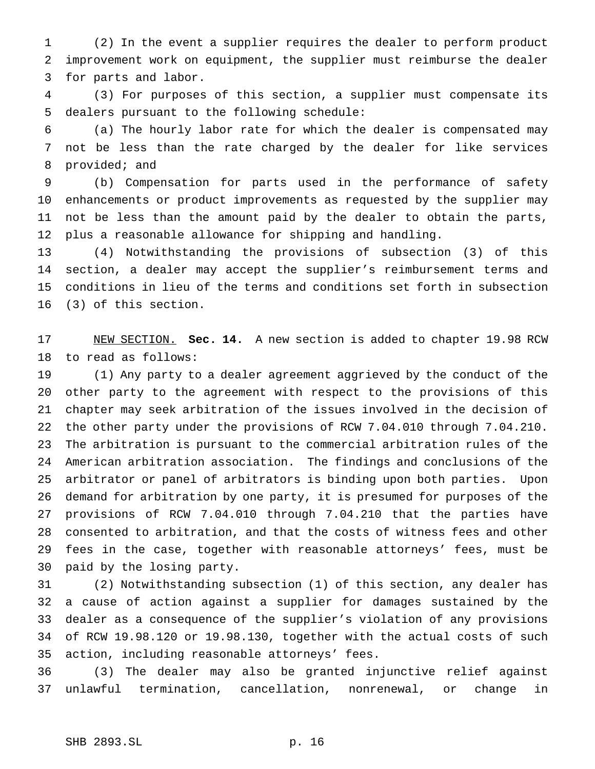(2) In the event a supplier requires the dealer to perform product improvement work on equipment, the supplier must reimburse the dealer for parts and labor.

 (3) For purposes of this section, a supplier must compensate its dealers pursuant to the following schedule:

 (a) The hourly labor rate for which the dealer is compensated may not be less than the rate charged by the dealer for like services provided; and

 (b) Compensation for parts used in the performance of safety enhancements or product improvements as requested by the supplier may not be less than the amount paid by the dealer to obtain the parts, plus a reasonable allowance for shipping and handling.

 (4) Notwithstanding the provisions of subsection (3) of this section, a dealer may accept the supplier's reimbursement terms and conditions in lieu of the terms and conditions set forth in subsection (3) of this section.

 NEW SECTION. **Sec. 14.** A new section is added to chapter 19.98 RCW to read as follows:

 (1) Any party to a dealer agreement aggrieved by the conduct of the other party to the agreement with respect to the provisions of this chapter may seek arbitration of the issues involved in the decision of the other party under the provisions of RCW 7.04.010 through 7.04.210. The arbitration is pursuant to the commercial arbitration rules of the American arbitration association. The findings and conclusions of the arbitrator or panel of arbitrators is binding upon both parties. Upon demand for arbitration by one party, it is presumed for purposes of the provisions of RCW 7.04.010 through 7.04.210 that the parties have consented to arbitration, and that the costs of witness fees and other fees in the case, together with reasonable attorneys' fees, must be paid by the losing party.

 (2) Notwithstanding subsection (1) of this section, any dealer has a cause of action against a supplier for damages sustained by the dealer as a consequence of the supplier's violation of any provisions of RCW 19.98.120 or 19.98.130, together with the actual costs of such action, including reasonable attorneys' fees.

 (3) The dealer may also be granted injunctive relief against unlawful termination, cancellation, nonrenewal, or change in